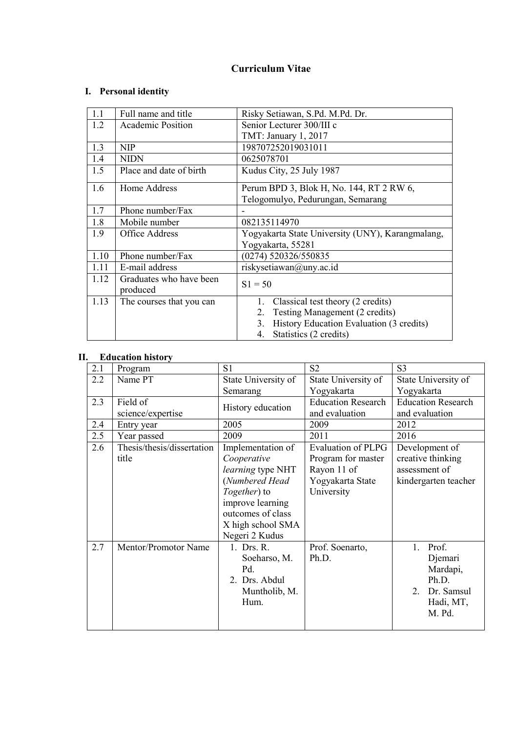# **Curriculum Vitae**

# **I. Personal identity**

| 1.1  | Full name and title      | Risky Setiawan, S.Pd. M.Pd. Dr.                  |  |  |
|------|--------------------------|--------------------------------------------------|--|--|
| 1.2  | <b>Academic Position</b> | Senior Lecturer 300/III c                        |  |  |
|      |                          | TMT: January 1, 2017                             |  |  |
| 1.3  | <b>NIP</b>               | 198707252019031011                               |  |  |
| 1.4  | <b>NIDN</b>              | 0625078701                                       |  |  |
| 1.5  | Place and date of birth  | Kudus City, 25 July 1987                         |  |  |
| 1.6  | Home Address             | Perum BPD 3, Blok H, No. 144, RT 2 RW 6,         |  |  |
|      |                          | Telogomulyo, Pedurungan, Semarang                |  |  |
| 1.7  | Phone number/Fax         |                                                  |  |  |
| 1.8  | Mobile number            | 082135114970                                     |  |  |
| 1.9  | <b>Office Address</b>    | Yogyakarta State University (UNY), Karangmalang, |  |  |
|      |                          | Yogyakarta, 55281                                |  |  |
| 1.10 | Phone number/Fax         | (0274) 520326/550835                             |  |  |
| 1.11 | E-mail address           | riskysetiawan@uny.ac.id                          |  |  |
| 1.12 | Graduates who have been  | $S1 = 50$                                        |  |  |
|      | produced                 |                                                  |  |  |
| 1.13 | The courses that you can | Classical test theory (2 credits)<br>1.          |  |  |
|      |                          | Testing Management (2 credits)<br>2.             |  |  |
|      |                          | History Education Evaluation (3 credits)<br>3.   |  |  |
|      |                          | Statistics (2 credits)<br>4.                     |  |  |

## **II. Education history**

|     | ечисанон шэнэг             |                     |                           |                           |  |
|-----|----------------------------|---------------------|---------------------------|---------------------------|--|
| 2.1 | Program                    | S <sub>1</sub>      | S <sub>2</sub>            | S <sub>3</sub>            |  |
| 2.2 | Name PT                    | State University of | State University of       | State University of       |  |
|     |                            | Semarang            | Yogyakarta                | Yogyakarta                |  |
| 2.3 | Field of                   |                     | <b>Education Research</b> | <b>Education Research</b> |  |
|     | science/expertise          | History education   | and evaluation            | and evaluation            |  |
| 2.4 | Entry year                 | 2005                | 2009                      | 2012                      |  |
| 2.5 | Year passed                | 2009                | 2011                      | 2016                      |  |
| 2.6 | Thesis/thesis/dissertation | Implementation of   | <b>Evaluation of PLPG</b> | Development of            |  |
|     | title                      | Cooperative         | Program for master        | creative thinking         |  |
|     |                            | learning type NHT   | Rayon 11 of               | assessment of             |  |
|     |                            | (Numbered Head      | Yogyakarta State          | kindergarten teacher      |  |
|     |                            | Together) to        | University                |                           |  |
|     |                            | improve learning    |                           |                           |  |
|     |                            | outcomes of class   |                           |                           |  |
|     |                            | X high school SMA   |                           |                           |  |
|     |                            | Negeri 2 Kudus      |                           |                           |  |
| 2.7 | Mentor/Promotor Name       | 1. Drs. R.          | Prof. Soenarto,           | 1. Prof.                  |  |
|     |                            | Soeharso, M.        | Ph.D.                     | Djemari                   |  |
|     |                            | Pd.                 |                           | Mardapi,                  |  |
|     |                            | 2. Drs. Abdul       |                           | Ph.D.                     |  |
|     |                            | Muntholib, M.       |                           | Dr. Samsul<br>2.          |  |
|     |                            | Hum.                |                           | Hadi, MT,                 |  |
|     |                            |                     |                           | M. Pd.                    |  |
|     |                            |                     |                           |                           |  |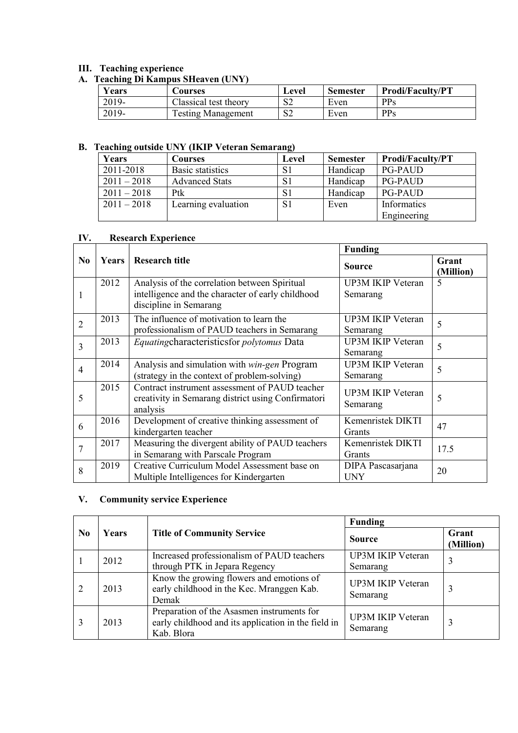### **III. Teaching experience**

## **A. Teaching Di Kampus SHeaven (UNY)**

| -<br>Years | Courses                   | Level        | <b>Semester</b> | <b>Prodi/Faculty/PT</b> |
|------------|---------------------------|--------------|-----------------|-------------------------|
| 2019-      | Classical test theory     | ⊿ت           | Even            | PPs                     |
| 2019-      | <b>Testing Management</b> | $\sim$<br>⊿ت | Even            | PPs                     |

### **B. Teaching outside UNY (IKIP Veteran Semarang)**

| Years         | <b>Courses</b>        | Level | Semester | <b>Prodi/Faculty/PT</b> |
|---------------|-----------------------|-------|----------|-------------------------|
| 2011-2018     | Basic statistics      | S1    | Handicap | <b>PG-PAUD</b>          |
| $2011 - 2018$ | <b>Advanced Stats</b> |       | Handicap | <b>PG-PAUD</b>          |
| $2011 - 2018$ | Ptk                   |       | Handicap | <b>PG-PAUD</b>          |
| $2011 - 2018$ | Learning evaluation   | S1    | Even     | Informatics             |
|               |                       |       |          | Engineering             |

### **IV. Research Experience**

|                                |      |                                                    | <b>Funding</b>           |                    |
|--------------------------------|------|----------------------------------------------------|--------------------------|--------------------|
| N <sub>0</sub><br><b>Years</b> |      | <b>Research title</b>                              | Source                   | Grant<br>(Million) |
|                                | 2012 | Analysis of the correlation between Spiritual      | UP3M IKIP Veteran        | 5                  |
|                                |      | intelligence and the character of early childhood  | Semarang                 |                    |
|                                |      | discipline in Semarang                             |                          |                    |
| $\overline{2}$                 | 2013 | The influence of motivation to learn the           | <b>UP3M IKIP Veteran</b> | 5                  |
|                                |      | professionalism of PAUD teachers in Semarang       | Semarang                 |                    |
| 3                              | 2013 | Equatingcharacteristicsfor polytomus Data          | <b>UP3M IKIP Veteran</b> | 5                  |
|                                |      |                                                    | Semarang                 |                    |
| $\overline{4}$                 | 2014 | Analysis and simulation with win-gen Program       | <b>UP3M IKIP Veteran</b> | 5                  |
|                                |      | (strategy in the context of problem-solving)       | Semarang                 |                    |
|                                | 2015 | Contract instrument assessment of PAUD teacher     | <b>UP3M IKIP Veteran</b> |                    |
| 5                              |      | creativity in Semarang district using Confirmatori | Semarang                 | 5                  |
|                                |      | analysis                                           |                          |                    |
| 6                              | 2016 | Development of creative thinking assessment of     | Kemenristek DIKTI        | 47                 |
|                                |      | kindergarten teacher                               | <b>Grants</b>            |                    |
| $\overline{7}$                 | 2017 | Measuring the divergent ability of PAUD teachers   | Kemenristek DIKTI        | 17.5               |
|                                |      | in Semarang with Parscale Program                  | Grants                   |                    |
| 8                              | 2019 | Creative Curriculum Model Assessment base on       | DIPA Pascasarjana        | 20                 |
|                                |      | Multiple Intelligences for Kindergarten            | <b>UNY</b>               |                    |

# **V. Community service Experience**

|                |       |                                                                                                   | <b>Funding</b>           |                    |  |
|----------------|-------|---------------------------------------------------------------------------------------------------|--------------------------|--------------------|--|
| N <sub>0</sub> | Years | <b>Title of Community Service</b>                                                                 | <b>Source</b>            | Grant<br>(Million) |  |
|                | 2012  | Increased professionalism of PAUD teachers                                                        | <b>UP3M IKIP Veteran</b> |                    |  |
|                |       | through PTK in Jepara Regency                                                                     | Semarang                 |                    |  |
|                | 2013  | Know the growing flowers and emotions of<br>early childhood in the Kec. Mranggen Kab.             | <b>UP3M IKIP Veteran</b> |                    |  |
|                |       | Demak                                                                                             | Semarang                 |                    |  |
|                | 2013  | Preparation of the Asasmen instruments for<br>early childhood and its application in the field in | <b>UP3M IKIP Veteran</b> |                    |  |
|                |       | Kab. Blora                                                                                        | Semarang                 |                    |  |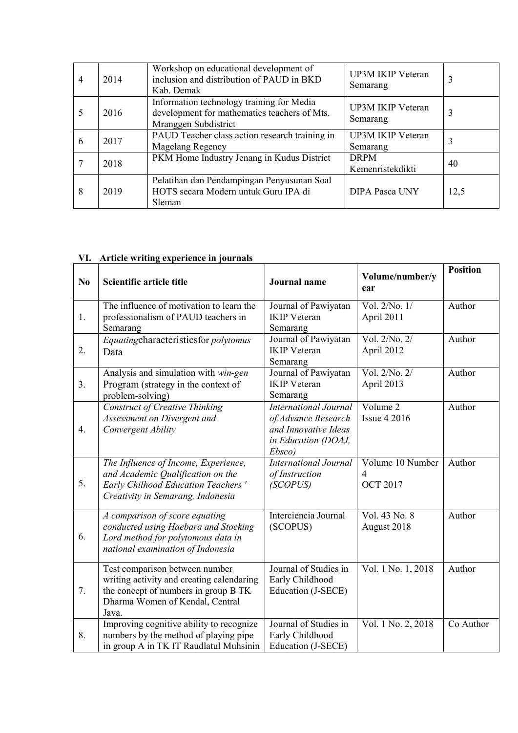| 4 | 2014 | Workshop on educational development of<br>inclusion and distribution of PAUD in BKD<br>Kab. Demak                 | <b>UP3M IKIP Veteran</b><br>Semarang |      |
|---|------|-------------------------------------------------------------------------------------------------------------------|--------------------------------------|------|
|   | 2016 | Information technology training for Media<br>development for mathematics teachers of Mts.<br>Mranggen Subdistrict | <b>UP3M IKIP Veteran</b><br>Semarang |      |
| 6 | 2017 | PAUD Teacher class action research training in<br><b>Magelang Regency</b>                                         | <b>UP3M IKIP Veteran</b><br>Semarang | 3    |
|   | 2018 | PKM Home Industry Jenang in Kudus District                                                                        | <b>DRPM</b><br>Kemenristekdikti      | 40   |
| 8 | 2019 | Pelatihan dan Pendampingan Penyusunan Soal<br>HOTS secara Modern untuk Guru IPA di<br>Sleman                      | <b>DIPA Pasca UNY</b>                | 12,5 |

# **VI. Article writing experience in journals**

| N <sub>0</sub> | Scientific article title                                                                                                                                        | Journal name                                                                                                 | Volume/number/y<br>ear                   | <b>Position</b> |
|----------------|-----------------------------------------------------------------------------------------------------------------------------------------------------------------|--------------------------------------------------------------------------------------------------------------|------------------------------------------|-----------------|
| 1.             | The influence of motivation to learn the<br>professionalism of PAUD teachers in<br>Semarang                                                                     | Journal of Pawiyatan<br><b>IKIP</b> Veteran<br>Semarang                                                      | Vol. $2/No. 1/$<br>April 2011            | Author          |
| 2.             | Equatingcharacteristicsfor polytomus<br>Data                                                                                                                    | Journal of Pawiyatan<br><b>IKIP</b> Veteran<br>Semarang                                                      | Vol. 2/No. 2/<br>April 2012              | Author          |
| 3.             | Analysis and simulation with win-gen<br>Program (strategy in the context of<br>problem-solving)                                                                 | Journal of Pawiyatan<br><b>IKIP</b> Veteran<br>Semarang                                                      | Vol. 2/No. 2/<br>April 2013              | Author          |
| 4.             | <b>Construct of Creative Thinking</b><br>Assessment on Divergent and<br>Convergent Ability                                                                      | <b>International Journal</b><br>of Advance Research<br>and Innovative Ideas<br>in Education (DOAJ,<br>Ebsco) | Volume 2<br><b>Issue 4 2016</b>          | Author          |
| 5.             | The Influence of Income, Experience,<br>and Academic Qualification on the<br>Early Chilhood Education Teachers'<br>Creativity in Semarang, Indonesia            | <b>International Journal</b><br>of Instruction<br>(SCOPUS)                                                   | Volume 10 Number<br>4<br><b>OCT 2017</b> | Author          |
| 6.             | A comparison of score equating<br>conducted using Haebara and Stocking<br>Lord method for polytomous data in<br>national examination of Indonesia               | Interciencia Journal<br>(SCOPUS)                                                                             | Vol. 43 No. 8<br>August 2018             | Author          |
| 7.             | Test comparison between number<br>writing activity and creating calendaring<br>the concept of numbers in group B TK<br>Dharma Women of Kendal, Central<br>Java. | Journal of Studies in<br>Early Childhood<br>Education (J-SECE)                                               | Vol. 1 No. 1, 2018                       | Author          |
| 8.             | Improving cognitive ability to recognize<br>numbers by the method of playing pipe<br>in group A in TK IT Raudlatul Muhsinin                                     | Journal of Studies in<br>Early Childhood<br>Education (J-SECE)                                               | Vol. 1 No. 2, 2018                       | Co Author       |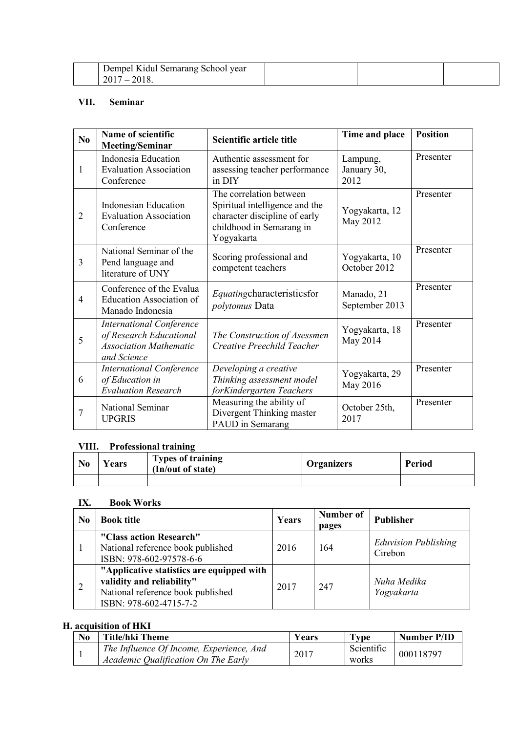| Dempel Kidul Semarang School year        |  |  |
|------------------------------------------|--|--|
| 2017<br>2018<br>$\overline{\phantom{a}}$ |  |  |

## **VII. Seminar**

| N <sub>0</sub> | Name of scientific<br><b>Meeting/Seminar</b>                                                               | Scientific article title                                                                                                             | Time and place                  | <b>Position</b> |
|----------------|------------------------------------------------------------------------------------------------------------|--------------------------------------------------------------------------------------------------------------------------------------|---------------------------------|-----------------|
| 1              | Indonesia Education<br><b>Evaluation Association</b><br>Conference                                         | Authentic assessment for<br>assessing teacher performance<br>in DIY                                                                  | Lampung,<br>January 30,<br>2012 | Presenter       |
| $\overline{2}$ | <b>Indonesian Education</b><br><b>Evaluation Association</b><br>Conference                                 | The correlation between<br>Spiritual intelligence and the<br>character discipline of early<br>childhood in Semarang in<br>Yogyakarta | Yogyakarta, 12<br>May 2012      | Presenter       |
| 3              | National Seminar of the<br>Pend language and<br>literature of UNY                                          | Scoring professional and<br>competent teachers                                                                                       | Yogyakarta, 10<br>October 2012  | Presenter       |
| $\overline{4}$ | Conference of the Evalua<br><b>Education Association of</b><br>Manado Indonesia                            | Equatingcharacteristicsfor<br>polytomus Data                                                                                         | Manado, 21<br>September 2013    | Presenter       |
| 5              | <b>International Conference</b><br>of Research Educational<br><b>Association Mathematic</b><br>and Science | The Construction of Asessmen<br>Creative Preechild Teacher                                                                           | Yogyakarta, 18<br>May 2014      | Presenter       |
| 6              | <b>International Conference</b><br>of Education in<br><b>Evaluation Research</b>                           | Developing a creative<br>Thinking assessment model<br>forKindergarten Teachers                                                       | Yogyakarta, 29<br>May 2016      | Presenter       |
| $\overline{7}$ | National Seminar<br><b>UPGRIS</b>                                                                          | Measuring the ability of<br>Divergent Thinking master<br>PAUD in Semarang                                                            | October 25th,<br>2017           | Presenter       |

# **VIII. Professional training**

| N <sub>0</sub> | ears | <b>Types of training</b><br>(In/out of state) | <b>Organizers</b> | <b>Period</b> |
|----------------|------|-----------------------------------------------|-------------------|---------------|
|                |      |                                               |                   |               |

## **IX. Book Works**

| N <sub>0</sub> | <b>Book title</b>                                                                                                                     | Years | Number of<br>pages | Publisher                              |
|----------------|---------------------------------------------------------------------------------------------------------------------------------------|-------|--------------------|----------------------------------------|
|                | "Class action Research"<br>National reference book published<br>ISBN: 978-602-97578-6-6                                               | 2016  | 164                | <b>Eduvision Publishing</b><br>Cirebon |
|                | "Applicative statistics are equipped with<br>validity and reliability"<br>National reference book published<br>ISBN: 978-602-4715-7-2 | 2017  | 247                | Nuha Medika<br>Yogyakarta              |

# **H. acquisition of HKI**

| Title/hki Theme                                                                 | Years | <b>Type</b>         | Number P/ID |
|---------------------------------------------------------------------------------|-------|---------------------|-------------|
| The Influence Of Income, Experience, And<br>Academic Qualification On The Early | 2017  | Scientific<br>works | 000118797   |